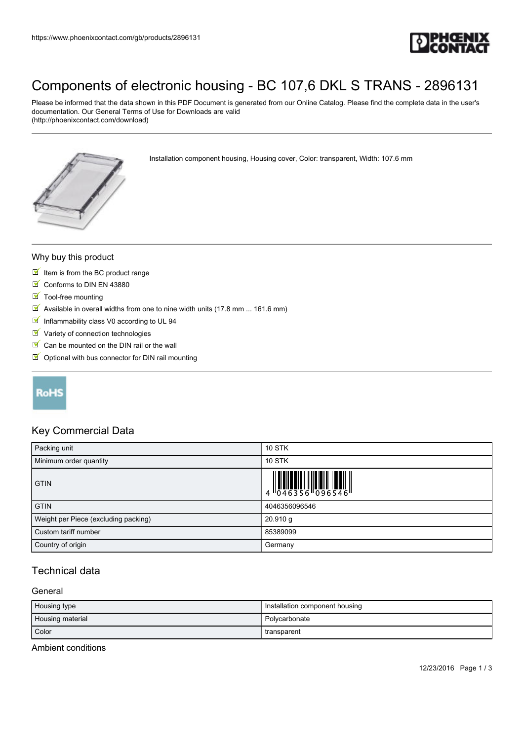

# [Components of electronic housing - BC 107,6 DKL S TRANS - 2896131](https://www.phoenixcontact.com/gb/products/2896131)

Please be informed that the data shown in this PDF Document is generated from our Online Catalog. Please find the complete data in the user's documentation. Our General Terms of Use for Downloads are valid (http://phoenixcontact.com/download)

Installation component housing, Housing cover, Color: transparent, Width: 107.6 mm

#### Why buy this product

- $I$  Item is from the BC product range
- Conforms to DIN EN 43880
- $\blacksquare$  Tool-free mounting
- $\boxed{\mathbb{M}}$  Available in overall widths from one to nine width units (17.8 mm ... 161.6 mm)
- Inflammability class V0 according to UL 94
- $\blacksquare$  Variety of connection technologies
- $\triangleright$  Can be mounted on the DIN rail or the wall
- $\blacksquare$  Optional with bus connector for DIN rail mounting

## **RoHS**

### Key Commercial Data

| Packing unit                         | <b>10 STK</b>                                                                                                                                                                                                                                                                                                           |
|--------------------------------------|-------------------------------------------------------------------------------------------------------------------------------------------------------------------------------------------------------------------------------------------------------------------------------------------------------------------------|
| Minimum order quantity               | <b>10 STK</b>                                                                                                                                                                                                                                                                                                           |
| <b>GTIN</b>                          | $\begin{array}{c} 1 & 0 & 0 & 0 \\ 0 & 0 & 4 & 6 & 3 & 5 & 6 \\ 0 & 0 & 0 & 0 & 0 & 5 & 5 & 4 \\ 0 & 0 & 0 & 0 & 0 & 5 & 4 & 6 \\ 0 & 0 & 0 & 0 & 0 & 5 & 4 & 6 \\ 0 & 0 & 0 & 0 & 0 & 5 & 4 & 6 \\ 0 & 0 & 0 & 0 & 0 & 5 & 4 & 6 \\ 0 & 0 & 0 & 0 & 0 & 5 & 4 & 6 \\ 0 & 0 & 0 & 0 & 0 & 5 & 4 & 6 \\ 0 & 0 & 0 & 0 &$ |
| <b>GTIN</b>                          | 4046356096546                                                                                                                                                                                                                                                                                                           |
| Weight per Piece (excluding packing) | $20.910$ g                                                                                                                                                                                                                                                                                                              |
| Custom tariff number                 | 85389099                                                                                                                                                                                                                                                                                                                |
| Country of origin                    | Germany                                                                                                                                                                                                                                                                                                                 |

## Technical data

#### **General**

| Housing type     | Installation component housing |
|------------------|--------------------------------|
| Housing material | Polycarbonate                  |
| Color            | transparent                    |

Ambient conditions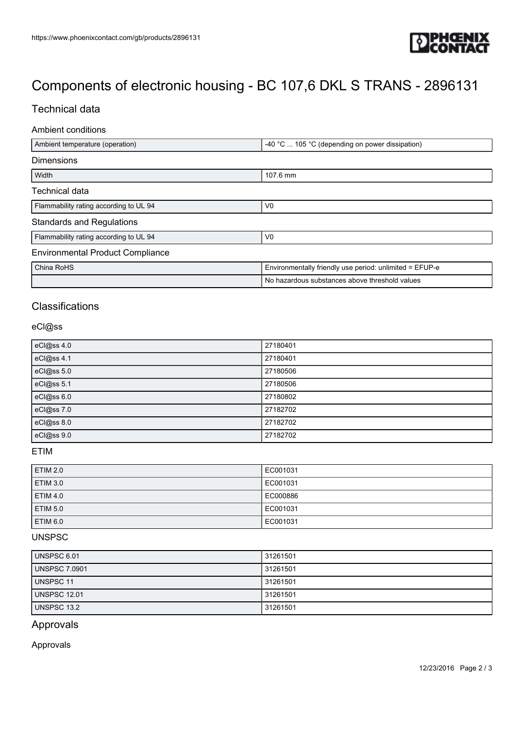

# [Components of electronic housing - BC 107,6 DKL S TRANS - 2896131](https://www.phoenixcontact.com/gb/products/2896131)

## Technical data

### Ambient conditions

| Ambient temperature (operation)         | -40 °C  105 °C (depending on power dissipation)         |  |
|-----------------------------------------|---------------------------------------------------------|--|
| <b>Dimensions</b>                       |                                                         |  |
| Width                                   | 107.6 mm                                                |  |
| Technical data                          |                                                         |  |
| Flammability rating according to UL 94  | V <sub>0</sub>                                          |  |
| <b>Standards and Regulations</b>        |                                                         |  |
| Flammability rating according to UL 94  | V <sub>0</sub>                                          |  |
| <b>Environmental Product Compliance</b> |                                                         |  |
| China RoHS                              | Environmentally friendly use period: unlimited = EFUP-e |  |
|                                         | No hazardous substances above threshold values          |  |

# **Classifications**

#### eCl@ss

| eCl@ss 4.0 | 27180401 |
|------------|----------|
| eCl@ss 4.1 | 27180401 |
| eCl@ss 5.0 | 27180506 |
| eCl@ss 5.1 | 27180506 |
| eCl@ss 6.0 | 27180802 |
| eCl@ss 7.0 | 27182702 |
| eCl@ss 8.0 | 27182702 |
| eCl@ss 9.0 | 27182702 |

#### ETIM

| <b>ETIM 2.0</b> | EC001031 |
|-----------------|----------|
| <b>ETIM 3.0</b> | EC001031 |
| <b>ETIM 4.0</b> | EC000886 |
| <b>ETIM 5.0</b> | EC001031 |
| <b>ETIM 6.0</b> | EC001031 |

## UNSPSC

| UNSPSC 6.01          | 31261501 |
|----------------------|----------|
| <b>UNSPSC 7.0901</b> | 31261501 |
| UNSPSC 11            | 31261501 |
| <b>UNSPSC 12.01</b>  | 31261501 |
| UNSPSC 13.2          | 31261501 |

### Approvals

Approvals